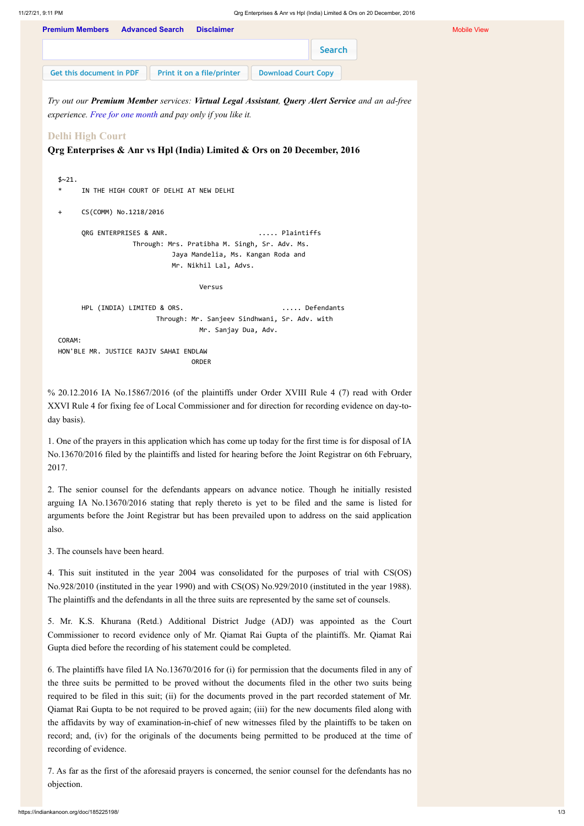*Try out our Premium Member services: Virtual Legal Assistant, Query Alert Service and an ad-free experience. Free for one [month](https://indiankanoon.org/members/) and pay only if you like it.*

## **Delhi High Court**

**Qrg Enterprises & Anr vs Hpl (India) Limited & Ors on 20 December, 2016**

```
$~21.* IN THE HIGH COURT OF DELHI AT NEW DELHI
+ CS(COMM) No.1218/2016
     QRG ENTERPRISES & ANR. ..... Plaintiffs
                 Through: Mrs. Pratibha M. Singh, Sr. Adv. Ms.
                          Jaya Mandelia, Ms. Kangan Roda and
                          Mr. Nikhil Lal, Advs.
                                Versus
     HPL (INDIA) LIMITED & ORS. \ldots ..... Defendants
                      Through: Mr. Sanjeev Sindhwani, Sr. Adv. with
                                Mr. Sanjay Dua, Adv.
CORAM:
HON'BLE MR. JUSTICE RAJIV SAHAI ENDLAW
                              ORDER
```
% 20.12.2016 IA No.15867/2016 (of the plaintiffs under Order XVIII Rule 4 (7) read with Order XXVI Rule 4 for fixing fee of Local Commissioner and for direction for recording evidence on day-today basis).

1. One of the prayers in this application which has come up today for the first time is for disposal of IA No.13670/2016 filed by the plaintiffs and listed for hearing before the Joint Registrar on 6th February, 2017.

2. The senior counsel for the defendants appears on advance notice. Though he initially resisted arguing IA No.13670/2016 stating that reply thereto is yet to be filed and the same is listed for arguments before the Joint Registrar but has been prevailed upon to address on the said application also.

| <b>Premium Members</b>   | <b>Advanced Search</b> | <b>Disclaimer</b>          |                            |  |
|--------------------------|------------------------|----------------------------|----------------------------|--|
|                          |                        |                            | Search                     |  |
| Get this document in PDF |                        | Print it on a file/printer | <b>Download Court Copy</b> |  |

3. The counsels have been heard.

4. This suit instituted in the year 2004 was consolidated for the purposes of trial with CS(OS) No.928/2010 (instituted in the year 1990) and with CS(OS) No.929/2010 (instituted in the year 1988). The plaintiffs and the defendants in all the three suits are represented by the same set of counsels.

5. Mr. K.S. Khurana (Retd.) Additional District Judge (ADJ) was appointed as the Court

Commissioner to record evidence only of Mr. Qiamat Rai Gupta of the plaintiffs. Mr. Qiamat Rai Gupta died before the recording of his statement could be completed.

6. The plaintiffs have filed IA No.13670/2016 for (i) for permission that the documents filed in any of the three suits be permitted to be proved without the documents filed in the other two suits being required to be filed in this suit; (ii) for the documents proved in the part recorded statement of Mr. Qiamat Rai Gupta to be not required to be proved again; (iii) for the new documents filed along with the affidavits by way of examination-in-chief of new witnesses filed by the plaintiffs to be taken on record; and, (iv) for the originals of the documents being permitted to be produced at the time of recording of evidence.

7. As far as the first of the aforesaid prayers is concerned, the senior counsel for the defendants has no objection.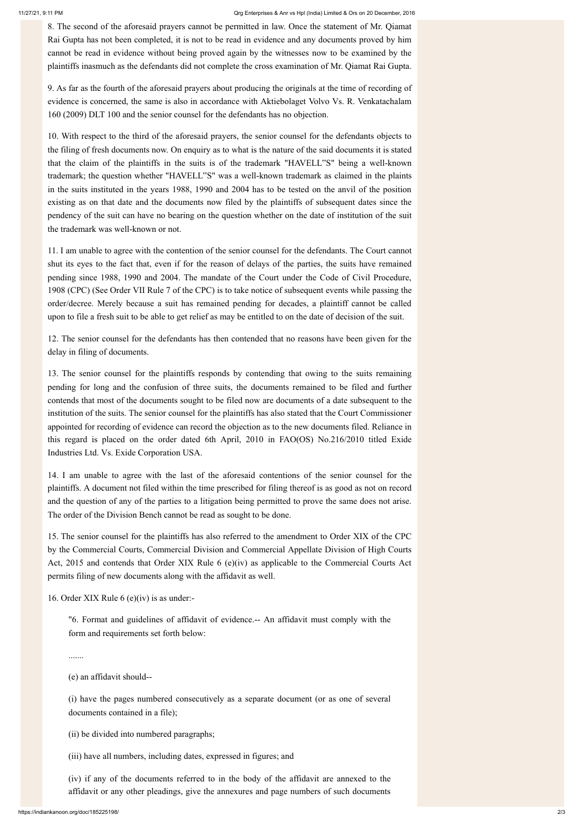8. The second of the aforesaid prayers cannot be permitted in law. Once the statement of Mr. Qiamat Rai Gupta has not been completed, it is not to be read in evidence and any documents proved by him cannot be read in evidence without being proved again by the witnesses now to be examined by the plaintiffs inasmuch as the defendants did not complete the cross examination of Mr. Qiamat Rai Gupta.

9. As far as the fourth of the aforesaid prayers about producing the originals at the time of recording of evidence is concerned, the same is also in accordance with Aktiebolaget Volvo Vs. R. Venkatachalam 160 (2009) DLT 100 and the senior counsel for the defendants has no objection.

10. With respect to the third of the aforesaid prayers, the senior counsel for the defendants objects to the filing of fresh documents now. On enquiry as to what is the nature of the said documents it is stated that the claim of the plaintiffs in the suits is of the trademark "HAVELL"S" being a well-known trademark; the question whether "HAVELL"S" was a well-known trademark as claimed in the plaints in the suits instituted in the years 1988, 1990 and 2004 has to be tested on the anvil of the position existing as on that date and the documents now filed by the plaintiffs of subsequent dates since the pendency of the suit can have no bearing on the question whether on the date of institution of the suit the trademark was well-known or not.

11. I am unable to agree with the contention of the senior counsel for the defendants. The Court cannot shut its eyes to the fact that, even if for the reason of delays of the parties, the suits have remained pending since 1988, 1990 and 2004. The mandate of the Court under the Code of Civil Procedure, 1908 (CPC) (See Order VII Rule 7 of the CPC) is to take notice of subsequent events while passing the order/decree. Merely because a suit has remained pending for decades, a plaintiff cannot be called upon to file a fresh suit to be able to get relief as may be entitled to on the date of decision of the suit.

12. The senior counsel for the defendants has then contended that no reasons have been given for the delay in filing of documents.

13. The senior counsel for the plaintiffs responds by contending that owing to the suits remaining pending for long and the confusion of three suits, the documents remained to be filed and further contends that most of the documents sought to be filed now are documents of a date subsequent to the institution of the suits. The senior counsel for the plaintiffs has also stated that the Court Commissioner appointed for recording of evidence can record the objection as to the new documents filed. Reliance in this regard is placed on the order dated 6th April, 2010 in FAO(OS) No.216/2010 titled Exide Industries Ltd. Vs. Exide Corporation USA.

14. I am unable to agree with the last of the aforesaid contentions of the senior counsel for the plaintiffs. A document not filed within the time prescribed for filing thereof is as good as not on record and the question of any of the parties to a litigation being permitted to prove the same does not arise. The order of the Division Bench cannot be read as sought to be done.

15. The senior counsel for the plaintiffs has also referred to the amendment to Order XIX of the CPC by the Commercial Courts, Commercial Division and Commercial Appellate Division of High Courts Act, 2015 and contends that Order XIX Rule 6 (e)(iv) as applicable to the Commercial Courts Act permits filing of new documents along with the affidavit as well.

16. Order XIX Rule 6 (e)(iv) is as under:-

"6. Format and guidelines of affidavit of evidence.-- An affidavit must comply with the

## form and requirements set forth below:

.......

## (e) an affidavit should--

(i) have the pages numbered consecutively as a separate document (or as one of several documents contained in a file);

(ii) be divided into numbered paragraphs;

(iii) have all numbers, including dates, expressed in figures; and

(iv) if any of the documents referred to in the body of the affidavit are annexed to the affidavit or any other pleadings, give the annexures and page numbers of such documents